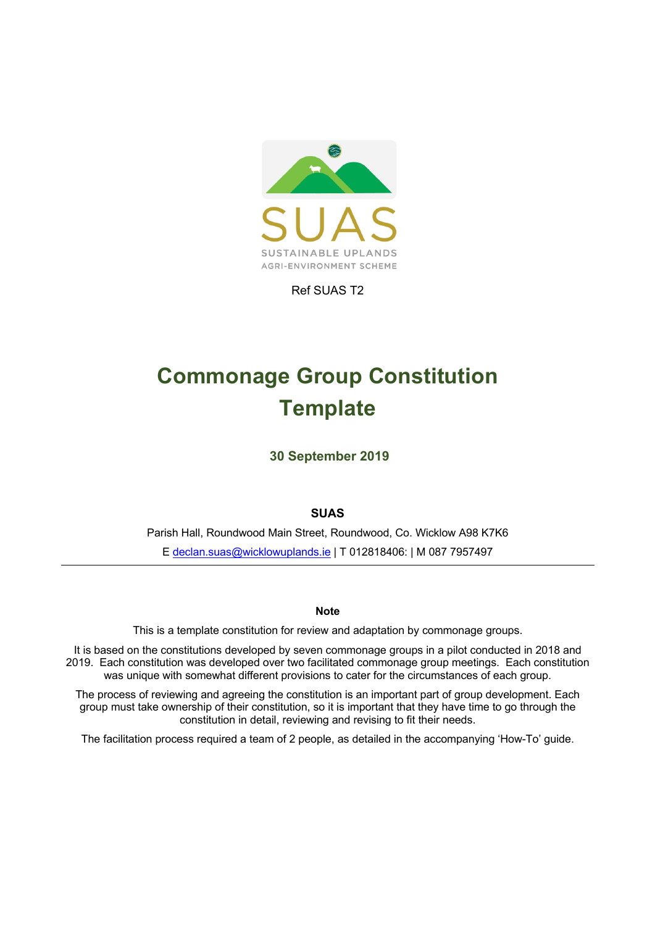

Ref SUAS T2

# **Commonage Group Constitution Template**

**30 September 2019** 

**SUAS** 

Parish Hall, Roundwood Main Street, Roundwood, Co. Wicklow A98 K7K6 E declan.suas@wicklowuplands.ie | T 012818406: | M 087 7957497

#### **Note**

This is a template constitution for review and adaptation by commonage groups.

It is based on the constitutions developed by seven commonage groups in a pilot conducted in 2018 and 2019. Each constitution was developed over two facilitated commonage group meetings. Each constitution was unique with somewhat different provisions to cater for the circumstances of each group.

The process of reviewing and agreeing the constitution is an important part of group development. Each group must take ownership of their constitution, so it is important that they have time to go through the constitution in detail, reviewing and revising to fit their needs.

The facilitation process required a team of 2 people, as detailed in the accompanying 'How-To' guide.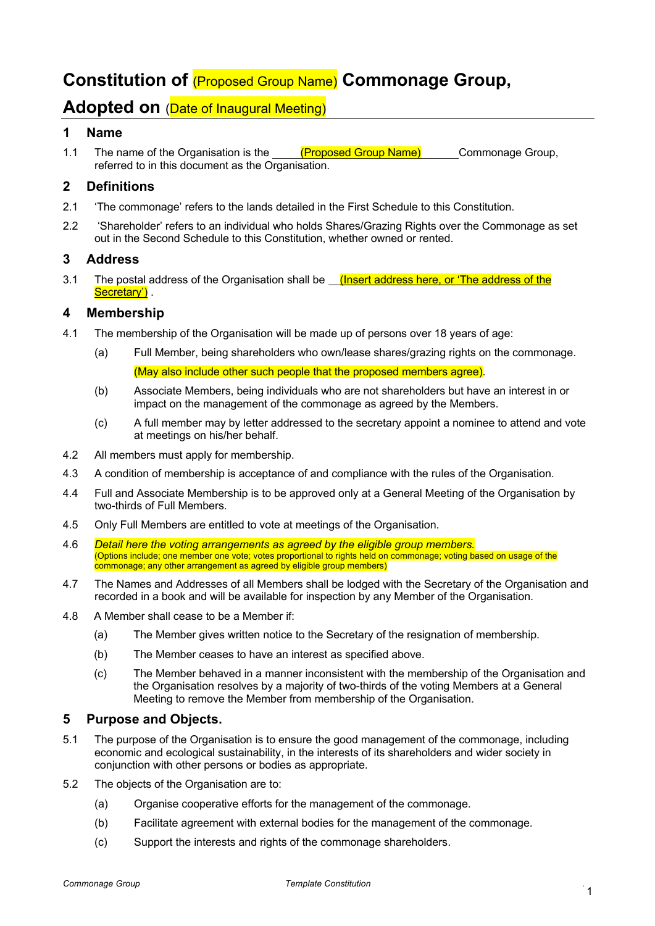# **Constitution of** (Proposed Group Name) **Commonage Group,**

## **Adopted on** (Date of Inaugural Meeting)

#### **1 Name**

1.1 The name of the Organisation is the (Proposed Group Name) Commonage Group, referred to in this document as the Organisation.

#### **2 Definitions**

- 2.1 'The commonage' refers to the lands detailed in the First Schedule to this Constitution.
- 2.2 'Shareholder' refers to an individual who holds Shares/Grazing Rights over the Commonage as set out in the Second Schedule to this Constitution, whether owned or rented.

#### **3 Address**

3.1 The postal address of the Organisation shall be *(Insert address here, or 'The address of the* Secretary').

#### **4 Membership**

- 4.1 The membership of the Organisation will be made up of persons over 18 years of age:
	- (a) Full Member, being shareholders who own/lease shares/grazing rights on the commonage. (May also include other such people that the proposed members agree).
	- (b) Associate Members, being individuals who are not shareholders but have an interest in or impact on the management of the commonage as agreed by the Members.
	- (c) A full member may by letter addressed to the secretary appoint a nominee to attend and vote at meetings on his/her behalf.
- 4.2 All members must apply for membership.
- 4.3 A condition of membership is acceptance of and compliance with the rules of the Organisation.
- 4.4 Full and Associate Membership is to be approved only at a General Meeting of the Organisation by two-thirds of Full Members.
- 4.5 Only Full Members are entitled to vote at meetings of the Organisation.
- 4.6 *Detail here the voting arrangements as agreed by the eligible group members.* (Options include; one member one vote; votes proportional to rights held on commonage; voting based on usage of the commonage; any other arrangement as agreed by eligible group members)
- 4.7 The Names and Addresses of all Members shall be lodged with the Secretary of the Organisation and recorded in a book and will be available for inspection by any Member of the Organisation.
- 4.8 A Member shall cease to be a Member if:
	- (a) The Member gives written notice to the Secretary of the resignation of membership.
	- (b) The Member ceases to have an interest as specified above.
	- (c) The Member behaved in a manner inconsistent with the membership of the Organisation and the Organisation resolves by a majority of two-thirds of the voting Members at a General Meeting to remove the Member from membership of the Organisation.

#### **5 Purpose and Objects.**

- 5.1 The purpose of the Organisation is to ensure the good management of the commonage, including economic and ecological sustainability, in the interests of its shareholders and wider society in conjunction with other persons or bodies as appropriate.
- 5.2 The objects of the Organisation are to:
	- (a) Organise cooperative efforts for the management of the commonage.
	- (b) Facilitate agreement with external bodies for the management of the commonage.
	- (c) Support the interests and rights of the commonage shareholders.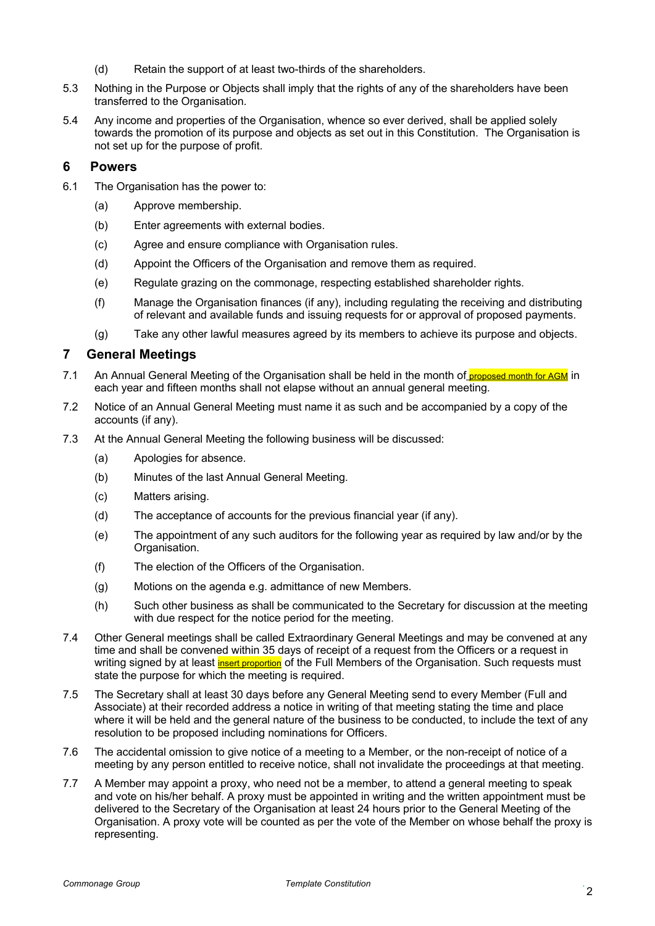- (d) Retain the support of at least two-thirds of the shareholders.
- 5.3 Nothing in the Purpose or Objects shall imply that the rights of any of the shareholders have been transferred to the Organisation.
- 5.4 Any income and properties of the Organisation, whence so ever derived, shall be applied solely towards the promotion of its purpose and objects as set out in this Constitution. The Organisation is not set up for the purpose of profit.

#### **6 Powers**

- 6.1 The Organisation has the power to:
	- (a) Approve membership.
	- (b) Enter agreements with external bodies.
	- (c) Agree and ensure compliance with Organisation rules.
	- (d) Appoint the Officers of the Organisation and remove them as required.
	- (e) Regulate grazing on the commonage, respecting established shareholder rights.
	- (f) Manage the Organisation finances (if any), including regulating the receiving and distributing of relevant and available funds and issuing requests for or approval of proposed payments.
	- (g) Take any other lawful measures agreed by its members to achieve its purpose and objects.

#### **7 General Meetings**

- 7.1 An Annual General Meeting of the Organisation shall be held in the month of proposed month for AGM in each year and fifteen months shall not elapse without an annual general meeting.
- 7.2 Notice of an Annual General Meeting must name it as such and be accompanied by a copy of the accounts (if any).
- 7.3 At the Annual General Meeting the following business will be discussed:
	- (a) Apologies for absence.
	- (b) Minutes of the last Annual General Meeting.
	- (c) Matters arising.
	- (d) The acceptance of accounts for the previous financial year (if any).
	- (e) The appointment of any such auditors for the following year as required by law and/or by the Organisation.
	- (f) The election of the Officers of the Organisation.
	- (g) Motions on the agenda e.g. admittance of new Members.
	- (h) Such other business as shall be communicated to the Secretary for discussion at the meeting with due respect for the notice period for the meeting.
- 7.4 Other General meetings shall be called Extraordinary General Meetings and may be convened at any time and shall be convened within 35 days of receipt of a request from the Officers or a request in writing signed by at least *insert proportion* of the Full Members of the Organisation. Such requests must state the purpose for which the meeting is required.
- 7.5 The Secretary shall at least 30 days before any General Meeting send to every Member (Full and Associate) at their recorded address a notice in writing of that meeting stating the time and place where it will be held and the general nature of the business to be conducted, to include the text of any resolution to be proposed including nominations for Officers.
- 7.6 The accidental omission to give notice of a meeting to a Member, or the non-receipt of notice of a meeting by any person entitled to receive notice, shall not invalidate the proceedings at that meeting.
- 7.7 A Member may appoint a proxy, who need not be a member, to attend a general meeting to speak and vote on his/her behalf. A proxy must be appointed in writing and the written appointment must be delivered to the Secretary of the Organisation at least 24 hours prior to the General Meeting of the Organisation. A proxy vote will be counted as per the vote of the Member on whose behalf the proxy is representing.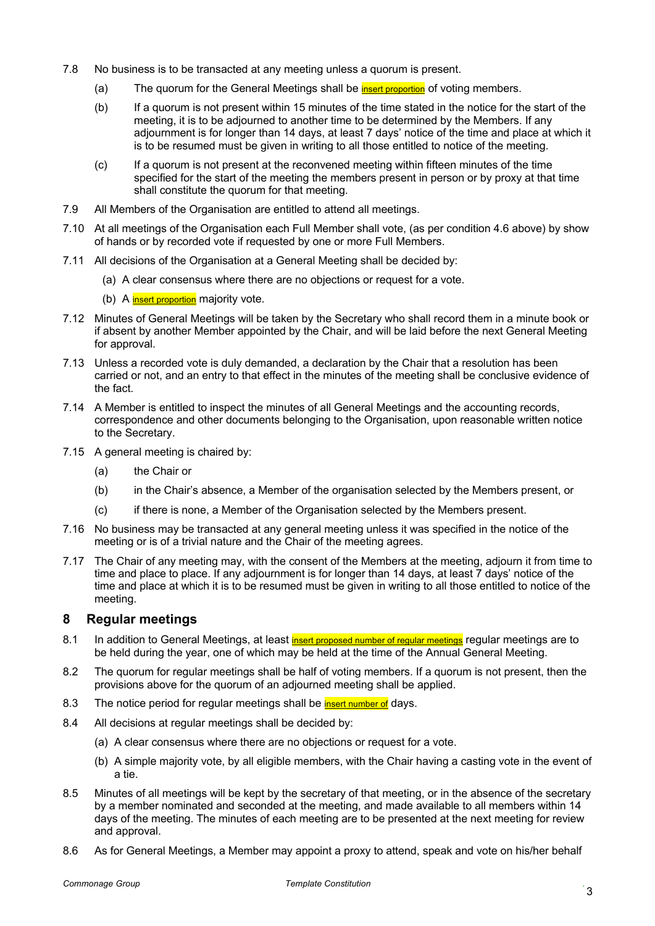- 7.8 No business is to be transacted at any meeting unless a quorum is present.
	- (a) The quorum for the General Meetings shall be **insert proportion** of voting members.
	- (b) If a quorum is not present within 15 minutes of the time stated in the notice for the start of the meeting, it is to be adjourned to another time to be determined by the Members. If any adjournment is for longer than 14 days, at least 7 days' notice of the time and place at which it is to be resumed must be given in writing to all those entitled to notice of the meeting.
	- (c) If a quorum is not present at the reconvened meeting within fifteen minutes of the time specified for the start of the meeting the members present in person or by proxy at that time shall constitute the quorum for that meeting.
- 7.9 All Members of the Organisation are entitled to attend all meetings.
- 7.10 At all meetings of the Organisation each Full Member shall vote, (as per condition 4.6 above) by show of hands or by recorded vote if requested by one or more Full Members.
- 7.11 All decisions of the Organisation at a General Meeting shall be decided by:
	- (a) A clear consensus where there are no objections or request for a vote.
	- (b) A insert proportion majority vote.
- 7.12 Minutes of General Meetings will be taken by the Secretary who shall record them in a minute book or if absent by another Member appointed by the Chair, and will be laid before the next General Meeting for approval.
- 7.13 Unless a recorded vote is duly demanded, a declaration by the Chair that a resolution has been carried or not, and an entry to that effect in the minutes of the meeting shall be conclusive evidence of the fact.
- 7.14 A Member is entitled to inspect the minutes of all General Meetings and the accounting records, correspondence and other documents belonging to the Organisation, upon reasonable written notice to the Secretary.
- 7.15 A general meeting is chaired by:
	- (a) the Chair or
	- (b) in the Chair's absence, a Member of the organisation selected by the Members present, or
	- (c) if there is none, a Member of the Organisation selected by the Members present.
- 7.16 No business may be transacted at any general meeting unless it was specified in the notice of the meeting or is of a trivial nature and the Chair of the meeting agrees.
- 7.17 The Chair of any meeting may, with the consent of the Members at the meeting, adjourn it from time to time and place to place. If any adjournment is for longer than 14 days, at least 7 days' notice of the time and place at which it is to be resumed must be given in writing to all those entitled to notice of the meeting.

#### **8 Regular meetings**

- 8.1 In addition to General Meetings, at least insert proposed number of regular meetings regular meetings are to be held during the year, one of which may be held at the time of the Annual General Meeting.
- 8.2 The quorum for regular meetings shall be half of voting members. If a quorum is not present, then the provisions above for the quorum of an adjourned meeting shall be applied.
- 8.3 The notice period for regular meetings shall be **insert number of** days.
- 8.4 All decisions at regular meetings shall be decided by:
	- (a) A clear consensus where there are no objections or request for a vote.
	- (b) A simple majority vote, by all eligible members, with the Chair having a casting vote in the event of a tie.
- 8.5 Minutes of all meetings will be kept by the secretary of that meeting, or in the absence of the secretary by a member nominated and seconded at the meeting, and made available to all members within 14 days of the meeting. The minutes of each meeting are to be presented at the next meeting for review and approval.
- 8.6 As for General Meetings, a Member may appoint a proxy to attend, speak and vote on his/her behalf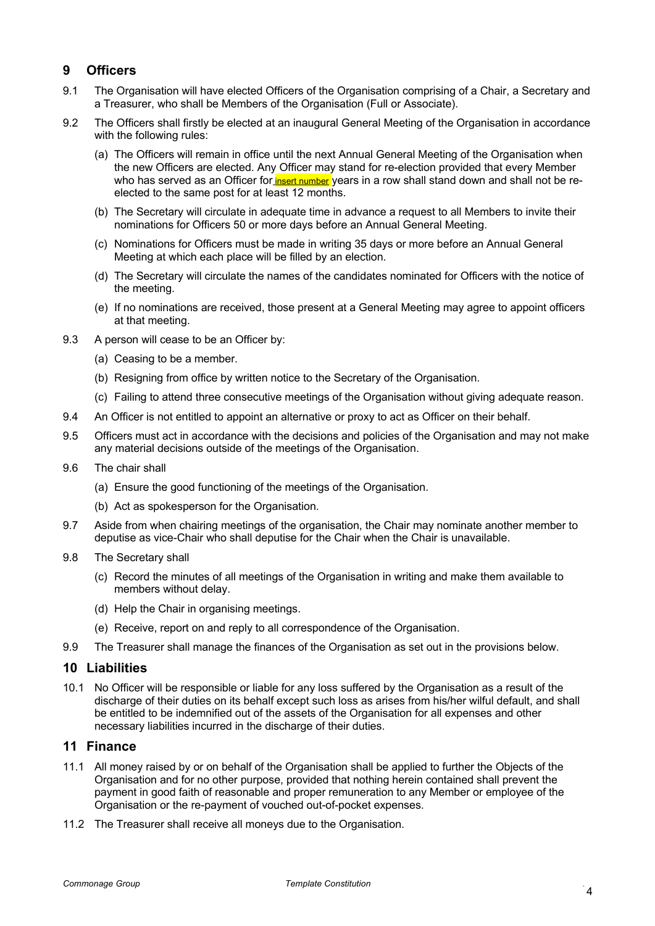#### **9 Officers**

- 9.1 The Organisation will have elected Officers of the Organisation comprising of a Chair, a Secretary and a Treasurer, who shall be Members of the Organisation (Full or Associate).
- 9.2 The Officers shall firstly be elected at an inaugural General Meeting of the Organisation in accordance with the following rules:
	- (a) The Officers will remain in office until the next Annual General Meeting of the Organisation when the new Officers are elected. Any Officer may stand for re-election provided that every Member who has served as an Officer for **insert number** years in a row shall stand down and shall not be reelected to the same post for at least 12 months.
	- (b) The Secretary will circulate in adequate time in advance a request to all Members to invite their nominations for Officers 50 or more days before an Annual General Meeting.
	- (c) Nominations for Officers must be made in writing 35 days or more before an Annual General Meeting at which each place will be filled by an election.
	- (d) The Secretary will circulate the names of the candidates nominated for Officers with the notice of the meeting.
	- (e) If no nominations are received, those present at a General Meeting may agree to appoint officers at that meeting.
- 9.3 A person will cease to be an Officer by:
	- (a) Ceasing to be a member.
	- (b) Resigning from office by written notice to the Secretary of the Organisation.
	- (c) Failing to attend three consecutive meetings of the Organisation without giving adequate reason.
- 9.4 An Officer is not entitled to appoint an alternative or proxy to act as Officer on their behalf.
- 9.5 Officers must act in accordance with the decisions and policies of the Organisation and may not make any material decisions outside of the meetings of the Organisation.
- 9.6 The chair shall
	- (a) Ensure the good functioning of the meetings of the Organisation.
	- (b) Act as spokesperson for the Organisation.
- 9.7 Aside from when chairing meetings of the organisation, the Chair may nominate another member to deputise as vice-Chair who shall deputise for the Chair when the Chair is unavailable.
- 9.8 The Secretary shall
	- (c) Record the minutes of all meetings of the Organisation in writing and make them available to members without delay.
	- (d) Help the Chair in organising meetings.
	- (e) Receive, report on and reply to all correspondence of the Organisation.
- 9.9 The Treasurer shall manage the finances of the Organisation as set out in the provisions below.

#### **10 Liabilities**

10.1 No Officer will be responsible or liable for any loss suffered by the Organisation as a result of the discharge of their duties on its behalf except such loss as arises from his/her wilful default, and shall be entitled to be indemnified out of the assets of the Organisation for all expenses and other necessary liabilities incurred in the discharge of their duties.

#### **11 Finance**

- 11.1 All money raised by or on behalf of the Organisation shall be applied to further the Objects of the Organisation and for no other purpose, provided that nothing herein contained shall prevent the payment in good faith of reasonable and proper remuneration to any Member or employee of the Organisation or the re-payment of vouched out-of-pocket expenses.
- 11.2 The Treasurer shall receive all moneys due to the Organisation.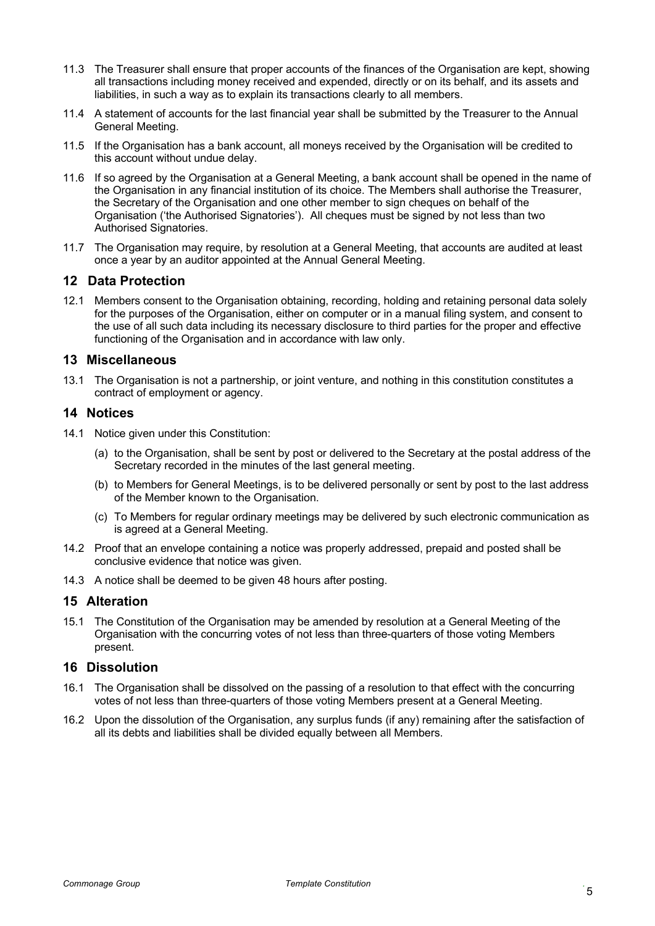- 11.3 The Treasurer shall ensure that proper accounts of the finances of the Organisation are kept, showing all transactions including money received and expended, directly or on its behalf, and its assets and liabilities, in such a way as to explain its transactions clearly to all members.
- 11.4 A statement of accounts for the last financial year shall be submitted by the Treasurer to the Annual General Meeting.
- 11.5 If the Organisation has a bank account, all moneys received by the Organisation will be credited to this account without undue delay.
- 11.6 If so agreed by the Organisation at a General Meeting, a bank account shall be opened in the name of the Organisation in any financial institution of its choice. The Members shall authorise the Treasurer, the Secretary of the Organisation and one other member to sign cheques on behalf of the Organisation ('the Authorised Signatories'). All cheques must be signed by not less than two Authorised Signatories.
- 11.7 The Organisation may require, by resolution at a General Meeting, that accounts are audited at least once a year by an auditor appointed at the Annual General Meeting.

#### **12 Data Protection**

12.1 Members consent to the Organisation obtaining, recording, holding and retaining personal data solely for the purposes of the Organisation, either on computer or in a manual filing system, and consent to the use of all such data including its necessary disclosure to third parties for the proper and effective functioning of the Organisation and in accordance with law only.

#### **13 Miscellaneous**

13.1 The Organisation is not a partnership, or joint venture, and nothing in this constitution constitutes a contract of employment or agency.

#### **14 Notices**

- 14.1 Notice given under this Constitution:
	- (a) to the Organisation, shall be sent by post or delivered to the Secretary at the postal address of the Secretary recorded in the minutes of the last general meeting.
	- (b) to Members for General Meetings, is to be delivered personally or sent by post to the last address of the Member known to the Organisation.
	- (c) To Members for regular ordinary meetings may be delivered by such electronic communication as is agreed at a General Meeting.
- 14.2 Proof that an envelope containing a notice was properly addressed, prepaid and posted shall be conclusive evidence that notice was given.
- 14.3 A notice shall be deemed to be given 48 hours after posting.

#### **15 Alteration**

15.1 The Constitution of the Organisation may be amended by resolution at a General Meeting of the Organisation with the concurring votes of not less than three-quarters of those voting Members present.

#### **16 Dissolution**

- 16.1 The Organisation shall be dissolved on the passing of a resolution to that effect with the concurring votes of not less than three-quarters of those voting Members present at a General Meeting.
- 16.2 Upon the dissolution of the Organisation, any surplus funds (if any) remaining after the satisfaction of all its debts and liabilities shall be divided equally between all Members.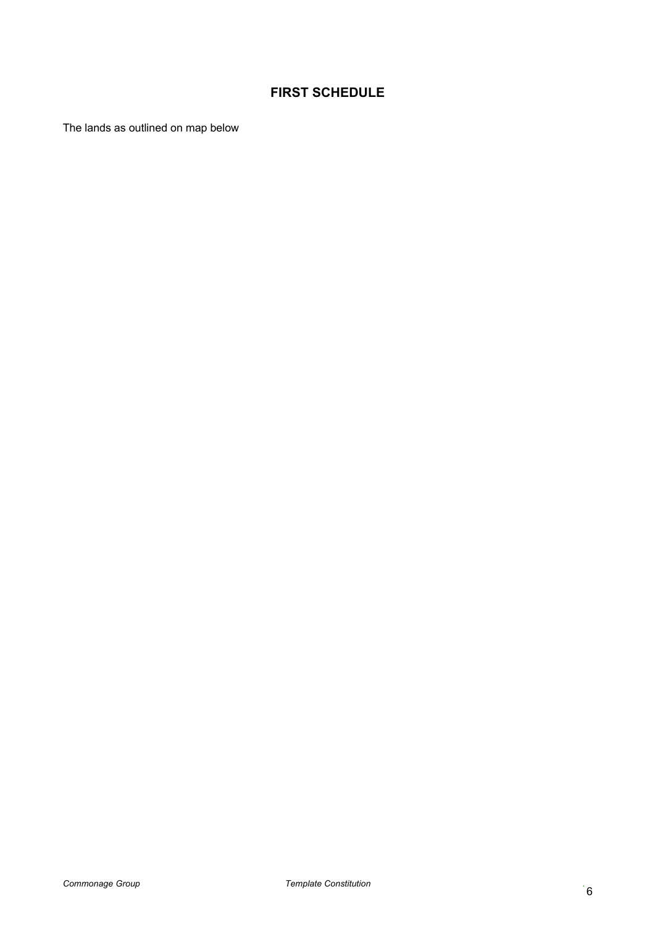### **FIRST SCHEDULE**

The lands as outlined on map below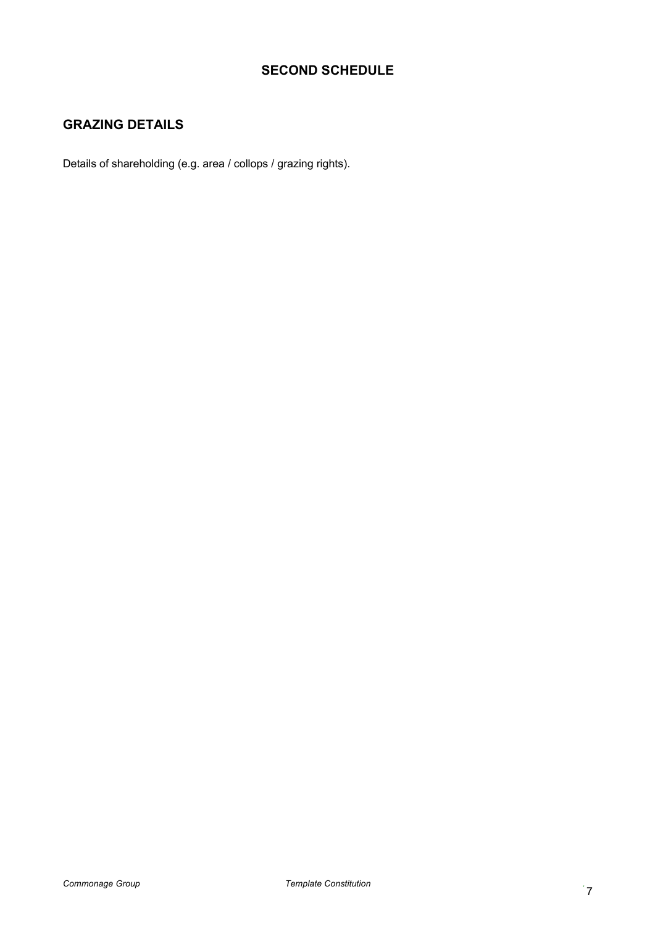#### **SECOND SCHEDULE**

### **GRAZING DETAILS**

Details of shareholding (e.g. area / collops / grazing rights).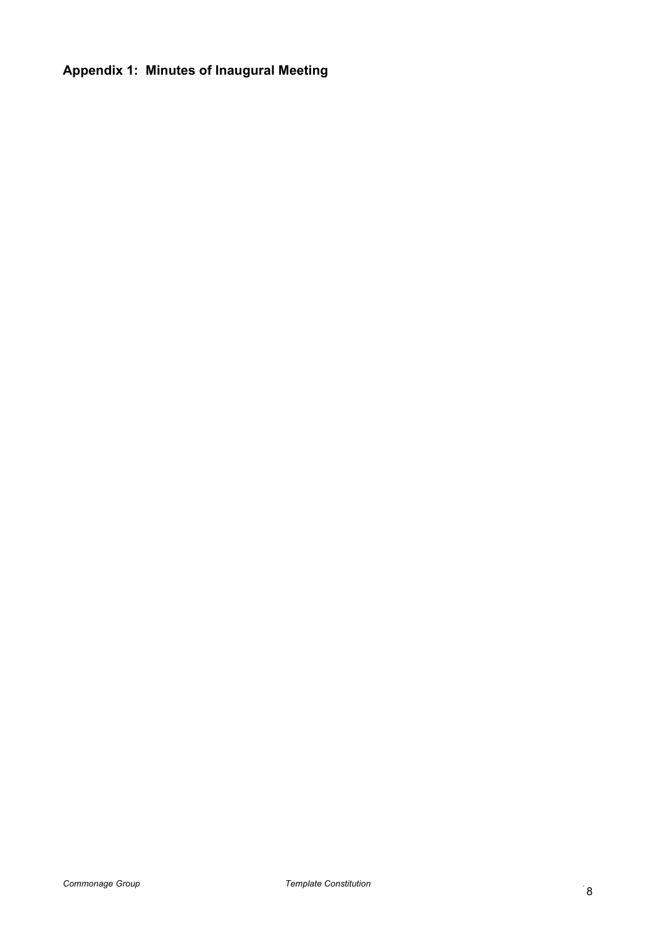# **Appendix 1: Minutes of Inaugural Meeting**